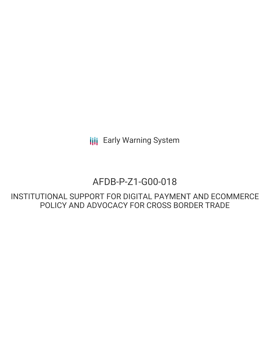**III** Early Warning System

# AFDB-P-Z1-G00-018

INSTITUTIONAL SUPPORT FOR DIGITAL PAYMENT AND ECOMMERCE POLICY AND ADVOCACY FOR CROSS BORDER TRADE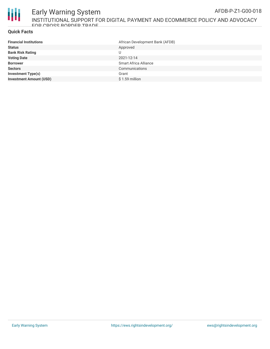

#### Early Warning System INSTITUTIONAL SUPPORT FOR DIGITAL PAYMENT AND ECOMMERCE POLICY AND ADVOCACY END CDNSS RADDED TRADE AFDB-P-Z1-G00-018

# **Quick Facts**

| <b>Financial Institutions</b>  | African Development Bank (AFDB) |
|--------------------------------|---------------------------------|
| <b>Status</b>                  | Approved                        |
| <b>Bank Risk Rating</b>        |                                 |
| <b>Voting Date</b>             | 2021-12-14                      |
| <b>Borrower</b>                | <b>Smart Africa Alliance</b>    |
| <b>Sectors</b>                 | Communications                  |
| <b>Investment Type(s)</b>      | Grant                           |
| <b>Investment Amount (USD)</b> | $$1.59$ million                 |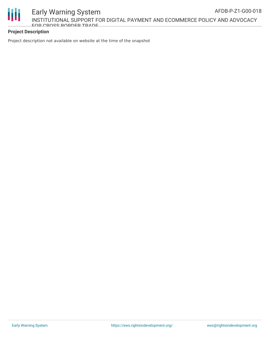

# **Project Description**

Project description not available on website at the time of the snapshot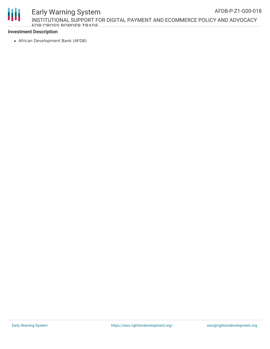

#### Early Warning System INSTITUTIONAL SUPPORT FOR DIGITAL PAYMENT AND ECOMMERCE POLICY AND ADVOCACY FOR CROSS BORDER TRADE AFDB-P-Z1-G00-018

#### **Investment Description**

African Development Bank (AFDB)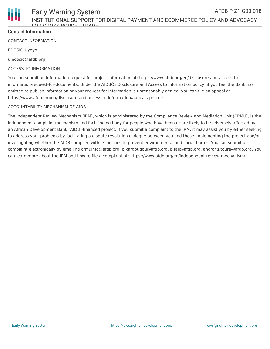

### **Contact Information**

CONTACT INFORMATION

EDOSIO Uyoyo

u.edosio@afdb.org

#### ACCESS TO INFORMATION

You can submit an information request for project information at: https://www.afdb.org/en/disclosure-and-access-toinformation/request-for-documents. Under the AfDBÕs Disclosure and Access to Information policy, if you feel the Bank has omitted to publish information or your request for information is unreasonably denied, you can file an appeal at https://www.afdb.org/en/disclosure-and-access-to-information/appeals-process.

#### ACCOUNTABILITY MECHANISM OF AfDB

The Independent Review Mechanism (IRM), which is administered by the Compliance Review and Mediation Unit (CRMU), is the independent complaint mechanism and fact-finding body for people who have been or are likely to be adversely affected by an African Development Bank (AfDB)-financed project. If you submit a complaint to the IRM, it may assist you by either seeking to address your problems by facilitating a dispute resolution dialogue between you and those implementing the project and/or investigating whether the AfDB complied with its policies to prevent environmental and social harms. You can submit a complaint electronically by emailing crmuinfo@afdb.org, b.kargougou@afdb.org, b.fall@afdb.org, and/or s.toure@afdb.org. You can learn more about the IRM and how to file a complaint at: https://www.afdb.org/en/independent-review-mechanism/